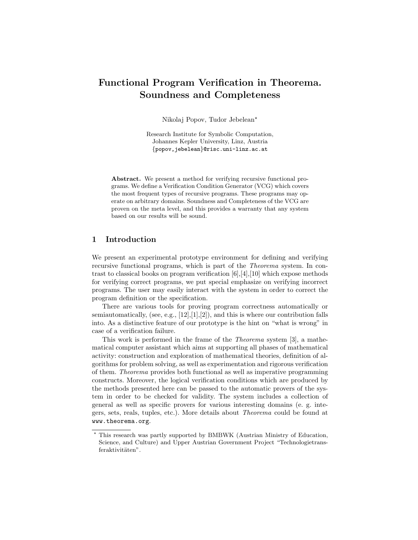# Functional Program Verification in Theorema. Soundness and Completeness

Nikolaj Popov, Tudor Jebelean?

Research Institute for Symbolic Computation, Johannes Kepler University, Linz, Austria {popov,jebelean}@risc.uni-linz.ac.at

Abstract. We present a method for verifying recursive functional programs. We define a Verification Condition Generator (VCG) which covers the most frequent types of recursive programs. These programs may operate on arbitrary domains. Soundness and Completeness of the VCG are proven on the meta level, and this provides a warranty that any system based on our results will be sound.

# 1 Introduction

We present an experimental prototype environment for defining and verifying recursive functional programs, which is part of the Theorema system. In contrast to classical books on program verification [6],[4],[10] which expose methods for verifying correct programs, we put special emphasize on verifying incorrect programs. The user may easily interact with the system in order to correct the program definition or the specification.

There are various tools for proving program correctness automatically or semiautomatically, (see, e.g.,  $[12], [1], [2]$ ), and this is where our contribution falls into. As a distinctive feature of our prototype is the hint on "what is wrong" in case of a verification failure.

This work is performed in the frame of the Theorema system [3], a mathematical computer assistant which aims at supporting all phases of mathematical activity: construction and exploration of mathematical theories, definition of algorithms for problem solving, as well as experimentation and rigorous verification of them. Theorema provides both functional as well as imperative programming constructs. Moreover, the logical verification conditions which are produced by the methods presented here can be passed to the automatic provers of the system in order to be checked for validity. The system includes a collection of general as well as specific provers for various interesting domains (e. g. integers, sets, reals, tuples, etc.). More details about Theorema could be found at www.theorema.org.

<sup>?</sup> This research was partly supported by BMBWK (Austrian Ministry of Education, Science, and Culture) and Upper Austrian Government Project "Technologietransferaktivitäten".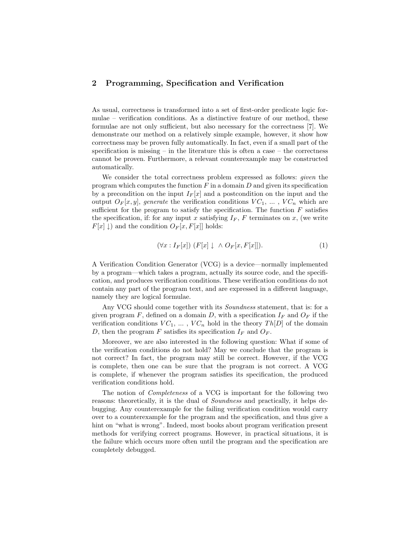# 2 Programming, Specification and Verification

As usual, correctness is transformed into a set of first-order predicate logic formulae – verification conditions. As a distinctive feature of our method, these formulae are not only sufficient, but also necessary for the correctness [7]. We demonstrate our method on a relatively simple example, however, it show how correctness may be proven fully automatically. In fact, even if a small part of the specification is missing – in the literature this is often a case – the correctness cannot be proven. Furthermore, a relevant counterexample may be constructed automatically.

We consider the total correctness problem expressed as follows: given the program which computes the function  $F$  in a domain  $D$  and given its specification by a precondition on the input  $I_F[x]$  and a postcondition on the input and the output  $O_F[x, y]$ , generate the verification conditions  $VC_1, \ldots, VC_n$  which are sufficient for the program to satisfy the specification. The function  $F$  satisfies the specification, if: for any input x satisfying  $I_F$ , F terminates on x, (we write  $F[x] \downarrow$  and the condition  $O_F[x, F[x]]$  holds:

$$
(\forall x: I_F[x]) \ (F[x] \downarrow \land O_F[x, F[x]]). \tag{1}
$$

A Verification Condition Generator (VCG) is a device—normally implemented by a program—which takes a program, actually its source code, and the specification, and produces verification conditions. These verification conditions do not contain any part of the program text, and are expressed in a different language, namely they are logical formulae.

Any VCG should come together with its *Soundness* statement, that is: for a given program F, defined on a domain D, with a specification  $I_F$  and  $O_F$  if the verification conditions  $VC_1, \ldots, VC_n$  hold in the theory  $Th[D]$  of the domain D, then the program F satisfies its specification  $I_F$  and  $O_F$ .

Moreover, we are also interested in the following question: What if some of the verification conditions do not hold? May we conclude that the program is not correct? In fact, the program may still be correct. However, if the VCG is complete, then one can be sure that the program is not correct. A VCG is complete, if whenever the program satisfies its specification, the produced verification conditions hold.

The notion of Completeness of a VCG is important for the following two reasons: theoretically, it is the dual of Soundness and practically, it helps debugging. Any counterexample for the failing verification condition would carry over to a counterexample for the program and the specification, and thus give a hint on "what is wrong". Indeed, most books about program verification present methods for verifying correct programs. However, in practical situations, it is the failure which occurs more often until the program and the specification are completely debugged.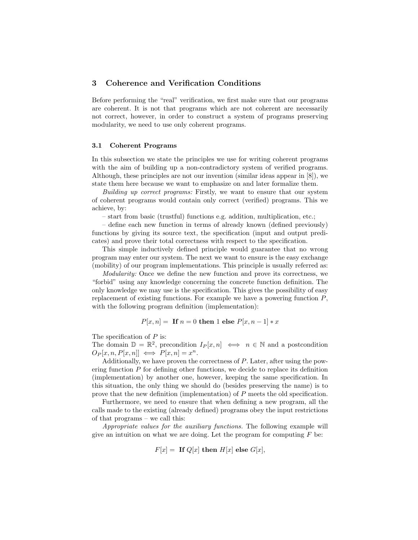# 3 Coherence and Verification Conditions

Before performing the "real" verification, we first make sure that our programs are coherent. It is not that programs which are not coherent are necessarily not correct, however, in order to construct a system of programs preserving modularity, we need to use only coherent programs.

#### 3.1 Coherent Programs

In this subsection we state the principles we use for writing coherent programs with the aim of building up a non-contradictory system of verified programs. Although, these principles are not our invention (similar ideas appear in [8]), we state them here because we want to emphasize on and later formalize them.

Building up correct programs: Firstly, we want to ensure that our system of coherent programs would contain only correct (verified) programs. This we achieve, by:

– start from basic (trustful) functions e.g. addition, multiplication, etc.;

– define each new function in terms of already known (defined previously) functions by giving its source text, the specification (input and output predicates) and prove their total correctness with respect to the specification.

This simple inductively defined principle would guarantee that no wrong program may enter our system. The next we want to ensure is the easy exchange (mobility) of our program implementations. This principle is usually referred as:

Modularity: Once we define the new function and prove its correctness, we "forbid" using any knowledge concerning the concrete function definition. The only knowledge we may use is the specification. This gives the possibility of easy replacement of existing functions. For example we have a powering function P, with the following program definition (implementation):

$$
P[x, n] = \text{ If } n = 0 \text{ then } 1 \text{ else } P[x, n-1] * x
$$

The specification of  $P$  is:

The domain  $\mathbb{D} = \mathbb{R}^2$ , precondition  $I_P[x, n] \iff n \in \mathbb{N}$  and a postcondition  $O_P[x, n, P[x, n]] \iff P[x, n] = x^n.$ 

Additionally, we have proven the correctness of P. Later, after using the powering function  $P$  for defining other functions, we decide to replace its definition (implementation) by another one, however, keeping the same specification. In this situation, the only thing we should do (besides preserving the name) is to prove that the new definition (implementation) of P meets the old specification.

Furthermore, we need to ensure that when defining a new program, all the calls made to the existing (already defined) programs obey the input restrictions of that programs – we call this:

Appropriate values for the auxiliary functions. The following example will give an intuition on what we are doing. Let the program for computing  $F$  be:

$$
F[x] = \text{ If } Q[x] \text{ then } H[x] \text{ else } G[x],
$$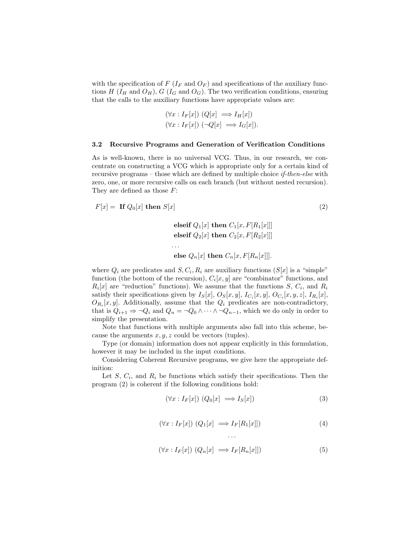with the specification of  $F(I_F \text{ and } O_F)$  and specifications of the auxiliary functions H ( $I_H$  and  $O_H$ ), G ( $I_G$  and  $O_G$ ). The two verification conditions, ensuring that the calls to the auxiliary functions have appropriate values are:

$$
(\forall x : I_F[x]) (Q[x] \implies I_H[x])
$$
  

$$
(\forall x : I_F[x]) (\neg Q[x] \implies I_G[x]).
$$

#### 3.2 Recursive Programs and Generation of Verification Conditions

As is well-known, there is no universal VCG. Thus, in our research, we concentrate on constructing a VCG which is appropriate only for a certain kind of recursive programs – those which are defined by multiple choice if-then-else with zero, one, or more recursive calls on each branch (but without nested recursion). They are defined as those F:

$$
F[x] = \text{ If } Q_0[x] \text{ then } S[x] \tag{2}
$$

. . .

elseif  $Q_1[x]$  then  $C_1[x, F[R_1[x]]$ elseif  $Q_2[x]$  then  $C_2[x, F[R_2[x]]$ 

else 
$$
Q_n[x]
$$
 then  $C_n[x, F[R_n[x]]]$ .

where  $Q_i$  are predicates and  $S, C_i, R_i$  are auxiliary functions  $(S[x]$  is a "simple" function (the bottom of the recursion),  $C_i[x, y]$  are "combinator" functions, and  $R_i[x]$  are "reduction" functions). We assume that the functions  $S, C_i$ , and  $R_i$ satisfy their specifications given by  $I_S[x]$ ,  $O_S[x, y]$ ,  $I_{C_i}[x, y]$ ,  $O_{C_i}[x, y, z]$ ,  $I_{R_i}[x]$ ,  $O_{R_i}[x, y]$ . Additionally, assume that the  $Q_i$  predicates are non-contradictory, that is  $Q_{i+1} \Rightarrow \neg Q_i$  and  $Q_n = \neg Q_0 \wedge \cdots \wedge \neg Q_{n-1}$ , which we do only in order to simplify the presentation.

Note that functions with multiple arguments also fall into this scheme, because the arguments  $x, y, z$  could be vectors (tuples).

Type (or domain) information does not appear explicitly in this formulation, however it may be included in the input conditions.

Considering Coherent Recursive programs, we give here the appropriate definition:

Let  $S$ ,  $C_i$ , and  $R_i$  be functions which satisfy their specifications. Then the program (2) is coherent if the following conditions hold:

$$
(\forall x : I_F[x]) (Q_0[x] \implies I_S[x])
$$
\n(3)

$$
(\forall x: I_F[x]) (Q_1[x] \implies I_F[R_1[x]]) \tag{4}
$$

$$
(\forall x: I_F[x]) (Q_n[x] \implies I_F[R_n[x]]) \tag{5}
$$

. . .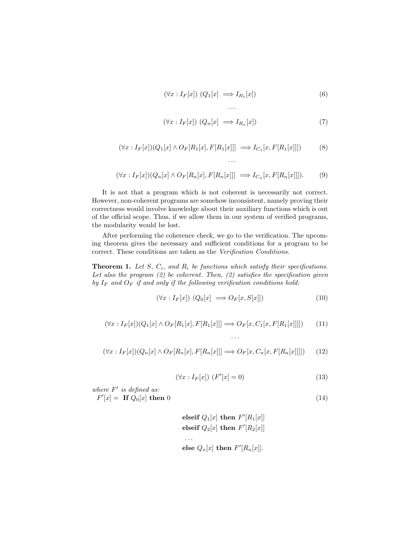$$
(\forall x: I_F[x]) (Q_1[x] \implies I_{R_1}[x]) \tag{6}
$$

$$
(\forall x: I_F[x]) (Q_n[x] \implies I_{R_n}[x])
$$
\n<sup>(7)</sup>

$$
(\forall x: I_F[x])(Q_1[x] \land O_F[R_1[x], F[R_1[x]]] \implies I_{C_1}[x, F[R_1[x]]]) \tag{8}
$$

. . .

. . .

$$
(\forall x: I_F[x])(Q_n[x] \land O_F[R_n[x], F[R_n[x]]] \implies I_{C_n}[x, F[R_n[x]]]).
$$
 (9)

It is not that a program which is not coherent is necessarily not correct. However, non-coherent programs are somehow inconsistent, namely proving their correctness would involve knowledge about their auxiliary functions which is out of the official scope. Thus, if we allow them in our system of verified programs, the modularity would be lost.

After performing the coherence check, we go to the verification. The upcoming theorem gives the necessary and sufficient conditions for a program to be correct. These conditions are taken as the Verification Conditions.

**Theorem 1.** Let S,  $C_i$ , and  $R_i$  be functions which satisfy their specifications. Let also the program  $(2)$  be coherent. Then,  $(2)$  satisfies the specification given by  $I_F$  and  $O_F$  if and only if the following verification conditions hold:

$$
(\forall x: I_F[x]) (Q_0[x] \implies O_F[x, S[x]]) \tag{10}
$$

. . .

$$
(\forall x: I_F[x])(Q_1[x] \land O_F[R_1[x], F[R_1[x]]] \Longrightarrow O_F[x, C_1[x, F[R_1[x]]]]) \tag{11}
$$

$$
(\forall x: I_F[x])(Q_n[x] \land O_F[R_n[x], F[R_n[x]]] \Longrightarrow O_F[x, C_n[x, F[R_n[x]]]]) \tag{12}
$$

$$
(\forall x: I_F[x]) \ (F'[x] = 0)
$$
\n
$$
(13)
$$

where  $F'$  is defined as:

$$
F'[x] = \text{ If } Q_0[x] \text{ then } 0 \tag{14}
$$

$$
\begin{aligned}\n\text{elseif } Q_1[x] \text{ then } F'[R_1[x]] \\
\text{elseif } Q_2[x] \text{ then } F'[R_2[x]] \\
\text{...} \\
\text{else } Q_n[x] \text{ then } F'[R_n[x]].\n\end{aligned}
$$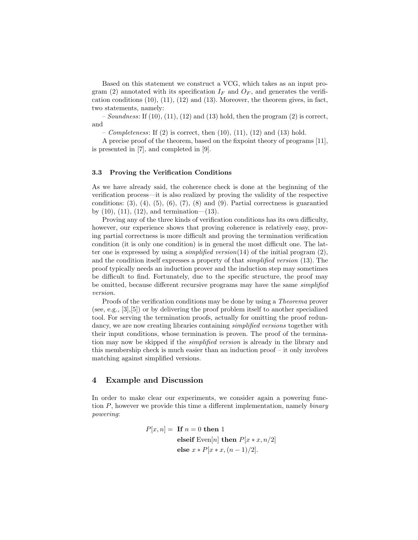Based on this statement we construct a VCG, which takes as an input program (2) annotated with its specification  $I_F$  and  $O_F$ , and generates the verification conditions (10), (11), (12) and (13). Moreover, the theorem gives, in fact, two statements, namely:

 $-Soundness:$  If (10), (11), (12) and (13) hold, then the program (2) is correct, and

– Completeness: If  $(2)$  is correct, then  $(10)$ ,  $(11)$ ,  $(12)$  and  $(13)$  hold.

A precise proof of the theorem, based on the fixpoint theory of programs [11], is presented in [7], and completed in [9].

### 3.3 Proving the Verification Conditions

As we have already said, the coherence check is done at the beginning of the verification process—it is also realized by proving the validity of the respective conditions:  $(3)$ ,  $(4)$ ,  $(5)$ ,  $(6)$ ,  $(7)$ ,  $(8)$  and  $(9)$ . Partial correctness is guarantied by  $(10)$ ,  $(11)$ ,  $(12)$ , and termination— $(13)$ .

Proving any of the three kinds of verification conditions has its own difficulty, however, our experience shows that proving coherence is relatively easy, proving partial correctness is more difficult and proving the termination verification condition (it is only one condition) is in general the most difficult one. The latter one is expressed by using a *simplified version*(14) of the initial program  $(2)$ , and the condition itself expresses a property of that simplified version (13). The proof typically needs an induction prover and the induction step may sometimes be difficult to find. Fortunately, due to the specific structure, the proof may be omitted, because different recursive programs may have the same simplified version.

Proofs of the verification conditions may be done by using a Theorema prover (see, e.g., [3],[5]) or by delivering the proof problem itself to another specialized tool. For serving the termination proofs, actually for omitting the proof redundancy, we are now creating libraries containing *simplified versions* together with their input conditions, whose termination is proven. The proof of the termination may now be skipped if the simplified version is already in the library and this membership check is much easier than an induction proof – it only involves matching against simplified versions.

## 4 Example and Discussion

In order to make clear our experiments, we consider again a powering function P, however we provide this time a different implementation, namely binary powering:

$$
P[x, n] =
$$
 If  $n = 0$  then 1  
elseif Even[*n*] then  $P[x * x, n/2]$   
else  $x * P[x * x, (n - 1)/2]$ .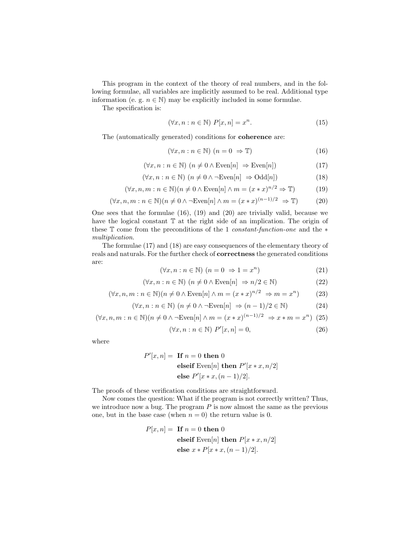This program in the context of the theory of real numbers, and in the following formulae, all variables are implicitly assumed to be real. Additional type information (e. g.  $n \in \mathbb{N}$ ) may be explicitly included in some formulae.

The specification is:

$$
(\forall x, n : n \in \mathbb{N}) \ P[x, n] = x^n. \tag{15}
$$

The (automatically generated) conditions for coherence are:

$$
(\forall x, n : n \in \mathbb{N}) \ (n = 0 \Rightarrow \mathbb{T}) \tag{16}
$$

$$
(\forall x, n : n \in \mathbb{N}) \ (n \neq 0 \land \text{Even}[n] \Rightarrow \text{Even}[n]) \tag{17}
$$

$$
(\forall x, n : n \in \mathbb{N}) \ (n \neq 0 \land \neg \text{Even}[n] \Rightarrow \text{Odd}[n]) \tag{18}
$$

$$
(\forall x, n, m : n \in \mathbb{N})(n \neq 0 \land \text{Even}[n] \land m = (x * x)^{n/2} \Rightarrow \mathbb{T})
$$
\n(19)

$$
(\forall x, n, m : n \in \mathbb{N})(n \neq 0 \land \neg \text{Even}[n] \land m = (x * x)^{(n-1)/2} \Rightarrow \mathbb{T})
$$
\n(20)

One sees that the formulae (16), (19) and (20) are trivially valid, because we have the logical constant  $\mathbb T$  at the right side of an implication. The origin of these T come from the preconditions of the 1 constant-function-one and the ∗ multiplication.

The formulae (17) and (18) are easy consequences of the elementary theory of reals and naturals. For the further check of correctness the generated conditions are:

$$
(\forall x, n : n \in \mathbb{N}) \ (n = 0 \Rightarrow 1 = x^n)
$$
\n
$$
(21)
$$

$$
(\forall x, n : n \in \mathbb{N}) \ (n \neq 0 \land \text{Even}[n] \Rightarrow n/2 \in \mathbb{N}) \tag{22}
$$

$$
(\forall x, n, m : n \in \mathbb{N})(n \neq 0 \land \text{Even}[n] \land m = (x * x)^{n/2} \Rightarrow m = x^n)
$$
 (23)

$$
(\forall x, n : n \in \mathbb{N}) \ (n \neq 0 \land \neg \text{Even}[n] \Rightarrow (n-1)/2 \in \mathbb{N}) \tag{24}
$$

$$
(\forall x, n, m : n \in \mathbb{N})(n \neq 0 \land \neg \text{Even}[n] \land m = (x * x)^{(n-1)/2} \Rightarrow x * m = x^n)
$$
 (25)

$$
(\forall x, n : n \in \mathbb{N}) \ P'[x, n] = 0,
$$
\n
$$
(26)
$$

where

$$
P'[x, n] = \text{ If } n = 0 \text{ then } 0
$$
  
elseif Even[n] then  $P'[x * x, n/2]$   
else  $P'[x * x, (n-1)/2]$ .

The proofs of these verification conditions are straightforward.

Now comes the question: What if the program is not correctly written? Thus, we introduce now a bug. The program  $P$  is now almost the same as the previous one, but in the base case (when  $n = 0$ ) the return value is 0.

$$
P[x, n] =
$$
 If  $n = 0$  then 0  
elseif Even[*n*] then  $P[x * x, n/2]$   
else  $x * P[x * x, (n - 1)/2]$ .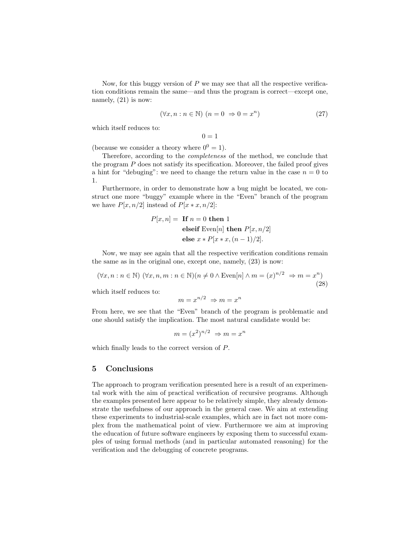Now, for this buggy version of  $P$  we may see that all the respective verification conditions remain the same—and thus the program is correct—except one, namely,  $(21)$  is now:

$$
(\forall x, n : n \in \mathbb{N}) \ (n = 0 \Rightarrow 0 = x^n)
$$
 (27)

which itself reduces to:

 $0 = 1$ 

(because we consider a theory where  $0^0 = 1$ ).

Therefore, according to the completeness of the method, we conclude that the program P does not satisfy its specification. Moreover, the failed proof gives a hint for "debuging": we need to change the return value in the case  $n = 0$  to 1.

Furthermore, in order to demonstrate how a bug might be located, we construct one more "buggy" example where in the "Even" branch of the program we have  $P[x, n/2]$  instead of  $P[x * x, n/2]$ :

$$
P[x, n] =
$$
 If  $n = 0$  then 1  
elseif Even[n] then  $P[x, n/2]$   
else  $x * P[x * x, (n - 1)/2]$ .

Now, we may see again that all the respective verification conditions remain the same as in the original one, except one, namely, (23) is now:

$$
(\forall x, n : n \in \mathbb{N}) (\forall x, n, m : n \in \mathbb{N}) (n \neq 0 \land \text{Even}[n] \land m = (x)^{n/2} \Rightarrow m = x^n)
$$
\n(28)

which itself reduces to:

$$
m = x^{n/2} \Rightarrow m = x^n
$$

From here, we see that the "Even" branch of the program is problematic and one should satisfy the implication. The most natural candidate would be:

$$
m = (x^2)^{n/2} \Rightarrow m = x^n
$$

which finally leads to the correct version of P.

### 5 Conclusions

The approach to program verification presented here is a result of an experimental work with the aim of practical verification of recursive programs. Although the examples presented here appear to be relatively simple, they already demonstrate the usefulness of our approach in the general case. We aim at extending these experiments to industrial-scale examples, which are in fact not more complex from the mathematical point of view. Furthermore we aim at improving the education of future software engineers by exposing them to successful examples of using formal methods (and in particular automated reasoning) for the verification and the debugging of concrete programs.